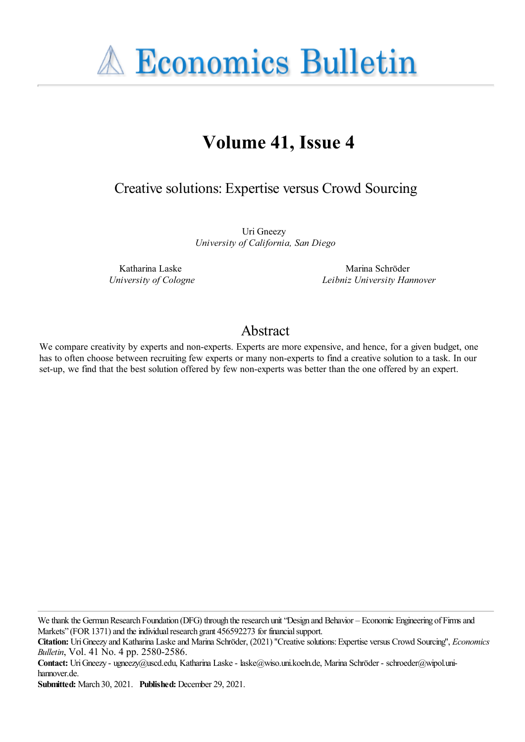**A Economics Bulletin** 

# **Volume 41, Issue 4**

Creative solutions: Expertise versus Crowd Sourcing

Uri Gneezy *University of California, San Diego*

Katharina Laske *University of Cologne*

Marina Schröder *Leibniz University Hannover*

### Abstract

We compare creativity by experts and non-experts. Experts are more expensive, and hence, for a given budget, one has to often choose between recruiting few experts or many non-experts to find a creative solution to a task. In our set-up, we find that the best solution offered by few non-experts was better than the one offered by an expert.

We thank the German Research Foundation (DFG) through the research unit "Design and Behavior – Economic Engineering of Firms and Markets" (FOR 1371) and the individual research grant 456592273 for financial support.

**Citation:** UriGneezy and Katharina Laskeand Marina Schröder, (2021) ''Creativesolutions:Expertise versus Crowd Sourcing'', *Economics Bulletin*, Vol. 41 No. 4 pp. 2580-2586.

**Contact:** UriGneezy - ugneezy@uscd.edu, Katharina Laske- laske@wiso.uni.koeln.de, Marina Schröder - schroeder@wipol.unihannover.de.

**Submitted:** March 30, 2021. **Published:** December 29, 2021.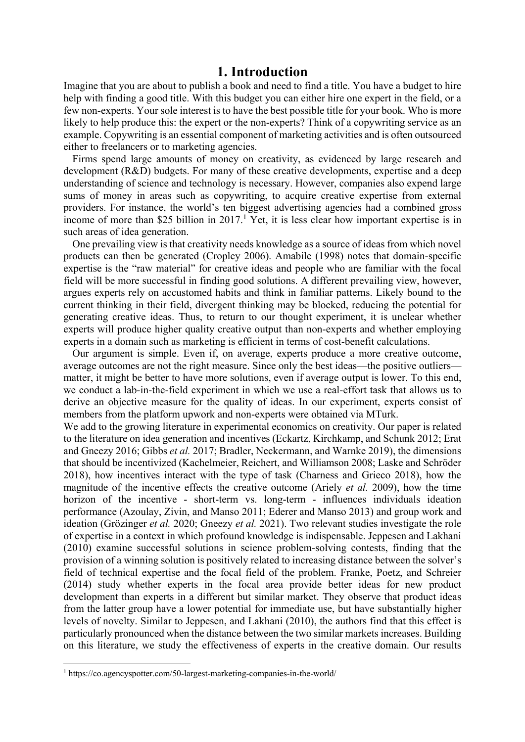#### **1. Introduction**

Imagine that you are about to publish a book and need to find a title. You have a budget to hire help with finding a good title. With this budget you can either hire one expert in the field, or a few non-experts. Your sole interest is to have the best possible title for your book. Who is more likely to help produce this: the expert or the non-experts? Think of a copywriting service as an example. Copywriting is an essential component of marketing activities and is often outsourced either to freelancers or to marketing agencies.

Firms spend large amounts of money on creativity, as evidenced by large research and development (R&D) budgets. For many of these creative developments, expertise and a deep understanding of science and technology is necessary. However, companies also expend large sums of money in areas such as copywriting, to acquire creative expertise from external providers. For instance, the world's ten biggest advertising agencies had a combined gross income of more than \$25 billion in  $2017<sup>1</sup>$  Yet, it is less clear how important expertise is in such areas of idea generation.

One prevailing view is that creativity needs knowledge as a source of ideas from which novel products can then be generated (Cropley 2006). Amabile (1998) notes that domain-specific expertise is the "raw material" for creative ideas and people who are familiar with the focal field will be more successful in finding good solutions. A different prevailing view, however, argues experts rely on accustomed habits and think in familiar patterns. Likely bound to the current thinking in their field, divergent thinking may be blocked, reducing the potential for generating creative ideas. Thus, to return to our thought experiment, it is unclear whether experts will produce higher quality creative output than non-experts and whether employing experts in a domain such as marketing is efficient in terms of cost-benefit calculations.

Our argument is simple. Even if, on average, experts produce a more creative outcome, average outcomes are not the right measure. Since only the best ideas—the positive outliers matter, it might be better to have more solutions, even if average output is lower. To this end, we conduct a lab-in-the-field experiment in which we use a real-effort task that allows us to derive an objective measure for the quality of ideas. In our experiment, experts consist of members from the platform upwork and non-experts were obtained via MTurk.

We add to the growing literature in experimental economics on creativity. Our paper is related to the literature on idea generation and incentives (Eckartz, Kirchkamp, and Schunk 2012; Erat and Gneezy 2016; Gibbs *et al.* 2017; Bradler, Neckermann, and Warnke 2019), the dimensions that should be incentivized (Kachelmeier, Reichert, and Williamson 2008; Laske and Schröder 2018), how incentives interact with the type of task (Charness and Grieco 2018), how the magnitude of the incentive effects the creative outcome (Ariely *et al.* 2009), how the time horizon of the incentive - short-term vs. long-term - influences individuals ideation performance (Azoulay, Zivin, and Manso 2011; Ederer and Manso 2013) and group work and ideation (Grözinger *et al.* 2020; Gneezy *et al.* 2021). Two relevant studies investigate the role of expertise in a context in which profound knowledge is indispensable. Jeppesen and Lakhani (2010) examine successful solutions in science problem-solving contests, finding that the provision of a winning solution is positively related to increasing distance between the solver's field of technical expertise and the focal field of the problem. Franke, Poetz, and Schreier (2014) study whether experts in the focal area provide better ideas for new product development than experts in a different but similar market. They observe that product ideas from the latter group have a lower potential for immediate use, but have substantially higher levels of novelty. Similar to Jeppesen, and Lakhani (2010), the authors find that this effect is particularly pronounced when the distance between the two similar markets increases. Building on this literature, we study the effectiveness of experts in the creative domain. Our results

<sup>1</sup> https://co.agencyspotter.com/50-largest-marketing-companies-in-the-world/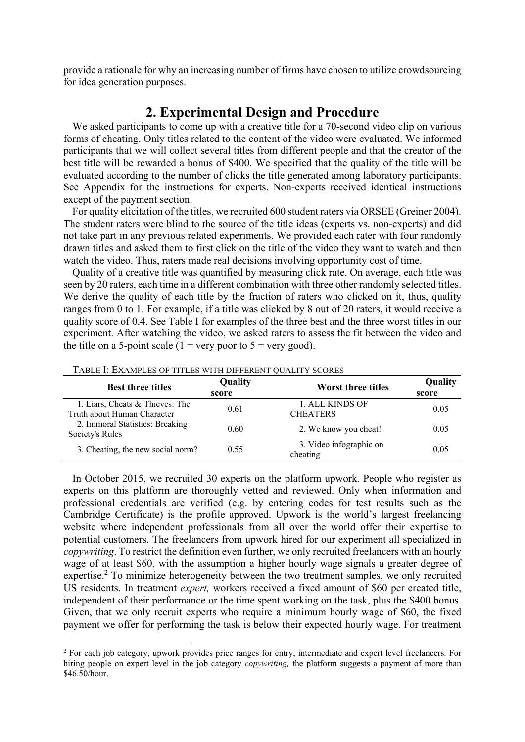provide a rationale for why an increasing number of firms have chosen to utilize crowdsourcing for idea generation purposes.

### **2. Experimental Design and Procedure**

We asked participants to come up with a creative title for a 70-second video clip on various forms of cheating. Only titles related to the content of the video were evaluated. We informed participants that we will collect several titles from different people and that the creator of the best title will be rewarded a bonus of \$400. We specified that the quality of the title will be evaluated according to the number of clicks the title generated among laboratory participants. See Appendix for the instructions for experts. Non-experts received identical instructions except of the payment section.

For quality elicitation of the titles, we recruited 600 student raters via ORSEE (Greiner 2004). The student raters were blind to the source of the title ideas (experts vs. non-experts) and did not take part in any previous related experiments. We provided each rater with four randomly drawn titles and asked them to first click on the title of the video they want to watch and then watch the video. Thus, raters made real decisions involving opportunity cost of time.

Quality of a creative title was quantified by measuring click rate. On average, each title was seen by 20 raters, each time in a different combination with three other randomly selected titles. We derive the quality of each title by the fraction of raters who clicked on it, thus, quality ranges from 0 to 1. For example, if a title was clicked by 8 out of 20 raters, it would receive a quality score of 0.4. See Table I for examples of the three best and the three worst titles in our experiment. After watching the video, we asked raters to assess the fit between the video and the title on a 5-point scale ( $1 = \text{very poor to } 5 = \text{very good}$ ).

| <b>Best three titles</b>                                       | Quality<br>score | Worst three titles                  | Quality<br>score |
|----------------------------------------------------------------|------------------|-------------------------------------|------------------|
| 1. Liars, Cheats & Thieves: The<br>Truth about Human Character | 0.61             | 1. ALL KINDS OF<br><b>CHEATERS</b>  | 0.05             |
| 2. Immoral Statistics: Breaking<br>Society's Rules             | 0.60             | 2. We know you cheat!               | 0.05             |
| 3. Cheating, the new social norm?                              | 0.55             | 3. Video infographic on<br>cheating | 0.05             |

TABLE I: EXAMPLES OF TITLES WITH DIFFERENT QUALITY SCORES

In October 2015, we recruited 30 experts on the platform upwork. People who register as experts on this platform are thoroughly vetted and reviewed. Only when information and professional credentials are verified (e.g. by entering codes for test results such as the Cambridge Certificate) is the profile approved. Upwork is the world's largest freelancing website where independent professionals from all over the world offer their expertise to potential customers. The freelancers from upwork hired for our experiment all specialized in *copywriting*. To restrict the definition even further, we only recruited freelancers with an hourly wage of at least \$60, with the assumption a higher hourly wage signals a greater degree of expertise.<sup>2</sup> To minimize heterogeneity between the two treatment samples, we only recruited US residents. In treatment *expert,* workers received a fixed amount of \$60 per created title, independent of their performance or the time spent working on the task, plus the \$400 bonus. Given, that we only recruit experts who require a minimum hourly wage of \$60, the fixed payment we offer for performing the task is below their expected hourly wage. For treatment

<sup>&</sup>lt;sup>2</sup> For each job category, upwork provides price ranges for entry, intermediate and expert level freelancers. For hiring people on expert level in the job category *copywriting,* the platform suggests a payment of more than \$46.50/hour.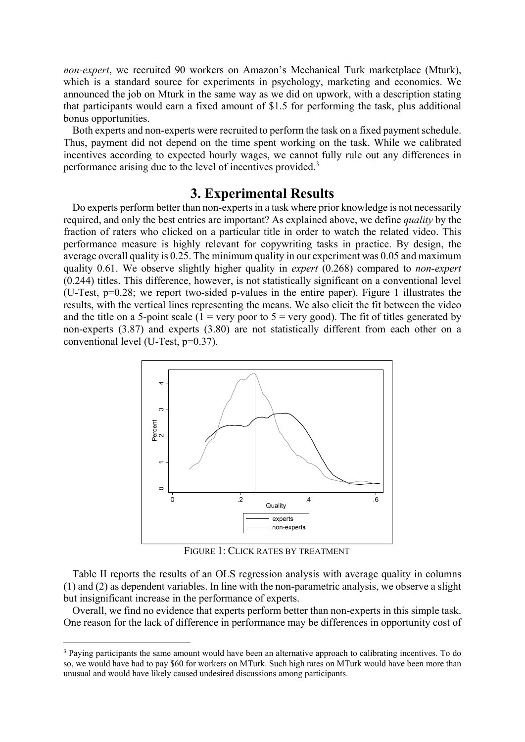*non-expert*, we recruited 90 workers on Amazon's Mechanical Turk marketplace (Mturk), which is a standard source for experiments in psychology, marketing and economics. We announced the job on Mturk in the same way as we did on upwork, with a description stating that participants would earn a fixed amount of \$1.5 for performing the task, plus additional bonus opportunities.

Both experts and non-experts were recruited to perform the task on a fixed payment schedule. Thus, payment did not depend on the time spent working on the task. While we calibrated incentives according to expected hourly wages, we cannot fully rule out any differences in performance arising due to the level of incentives provided.<sup>3</sup>

#### **3. Experimental Results**

Do experts perform better than non-experts in a task where prior knowledge is not necessarily required, and only the best entries are important? As explained above, we define *quality* by the fraction of raters who clicked on a particular title in order to watch the related video. This performance measure is highly relevant for copywriting tasks in practice. By design, the average overall quality is 0.25. The minimum quality in our experiment was 0.05 and maximum quality 0.61. We observe slightly higher quality in *expert* (0.268) compared to *non-expert* (0.244) titles. This difference, however, is not statistically significant on a conventional level (U-Test, p=0.28; we report two-sided p-values in the entire paper). Figure 1 illustrates the results, with the vertical lines representing the means. We also elicit the fit between the video and the title on a 5-point scale (1 = very poor to  $5$  = very good). The fit of titles generated by non-experts (3.87) and experts (3.80) are not statistically different from each other on a conventional level (U-Test, p=0.37).



FIGURE 1: CLICK RATES BY TREATMENT

Table II reports the results of an OLS regression analysis with average quality in columns (1) and (2) as dependent variables. In line with the non-parametric analysis, we observe a slight but insignificant increase in the performance of experts.

Overall, we find no evidence that experts perform better than non-experts in this simple task. One reason for the lack of difference in performance may be differences in opportunity cost of

<sup>&</sup>lt;sup>3</sup> Paying participants the same amount would have been an alternative approach to calibrating incentives. To do so, we would have had to pay \$60 for workers on MTurk. Such high rates on MTurk would have been more than unusual and would have likely caused undesired discussions among participants.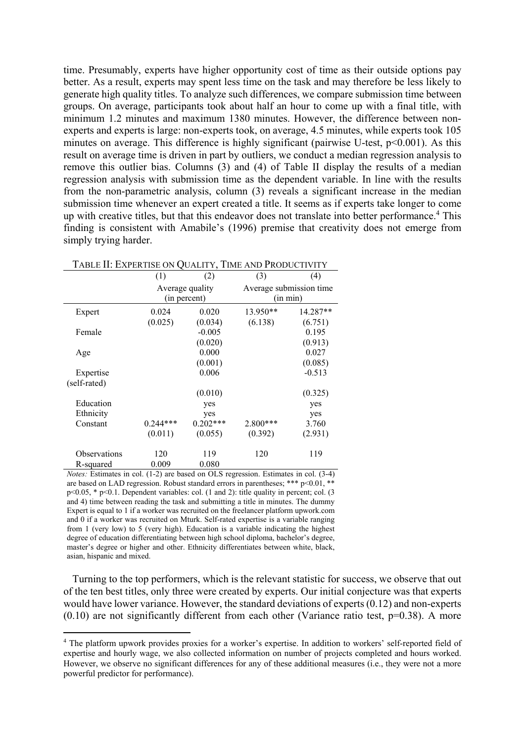time. Presumably, experts have higher opportunity cost of time as their outside options pay better. As a result, experts may spent less time on the task and may therefore be less likely to generate high quality titles. To analyze such differences, we compare submission time between groups. On average, participants took about half an hour to come up with a final title, with minimum 1.2 minutes and maximum 1380 minutes. However, the difference between nonexperts and experts is large: non-experts took, on average, 4.5 minutes, while experts took 105 minutes on average. This difference is highly significant (pairwise U-test, p<0.001). As this result on average time is driven in part by outliers, we conduct a median regression analysis to remove this outlier bias. Columns (3) and (4) of Table II display the results of a median regression analysis with submission time as the dependent variable. In line with the results from the non-parametric analysis, column (3) reveals a significant increase in the median submission time whenever an expert created a title. It seems as if experts take longer to come up with creative titles, but that this endeavor does not translate into better performance.<sup>4</sup> This finding is consistent with Amabile's (1996) premise that creativity does not emerge from simply trying harder.

| TABLE II: EXPERTISE ON QUALITY, TIME AND PRODUCTIVITY |                 |              |                         |          |  |  |
|-------------------------------------------------------|-----------------|--------------|-------------------------|----------|--|--|
|                                                       | (1)             | (2)          | (3)                     | (4)      |  |  |
|                                                       | Average quality |              | Average submission time |          |  |  |
|                                                       |                 | (in percent) |                         | (in min) |  |  |
| Expert                                                | 0.024           | 0.020        | 13.950**                | 14.287** |  |  |
|                                                       | (0.025)         | (0.034)      | (6.138)                 | (6.751)  |  |  |
| Female                                                |                 | $-0.005$     |                         | 0.195    |  |  |
|                                                       |                 | (0.020)      |                         | (0.913)  |  |  |
| Age                                                   |                 | 0.000        |                         | 0.027    |  |  |
|                                                       |                 | (0.001)      |                         | (0.085)  |  |  |
| Expertise                                             |                 | 0.006        |                         | $-0.513$ |  |  |
| (self-rated)                                          |                 |              |                         |          |  |  |
|                                                       |                 | (0.010)      |                         | (0.325)  |  |  |
| Education                                             |                 | yes          |                         | yes      |  |  |
| Ethnicity                                             |                 | yes          |                         | yes      |  |  |
| Constant                                              | $0.244***$      | $0.202***$   | 2.800***                | 3.760    |  |  |
|                                                       | (0.011)         | (0.055)      | (0.392)                 | (2.931)  |  |  |
| Observations                                          | 120             | 119          | 120                     | 119      |  |  |
| R-squared                                             | 0.009           | 0.080        |                         |          |  |  |

*Notes:* Estimates in col. (1-2) are based on OLS regression. Estimates in col. (3-4) are based on LAD regression. Robust standard errors in parentheses; \*\*\* p<0.01, \*\* p<0.05, \* p<0.1. Dependent variables: col. (1 and 2): title quality in percent; col. (3 and 4) time between reading the task and submitting a title in minutes. The dummy Expert is equal to 1 if a worker was recruited on the freelancer platform upwork.com and 0 if a worker was recruited on Mturk. Self-rated expertise is a variable ranging from 1 (very low) to 5 (very high). Education is a variable indicating the highest degree of education differentiating between high school diploma, bachelor's degree, master's degree or higher and other. Ethnicity differentiates between white, black, asian, hispanic and mixed.

Turning to the top performers, which is the relevant statistic for success, we observe that out of the ten best titles, only three were created by experts. Our initial conjecture was that experts would have lower variance. However, the standard deviations of experts (0.12) and non-experts  $(0.10)$  are not significantly different from each other (Variance ratio test,  $p=0.38$ ). A more

<sup>&</sup>lt;sup>4</sup> The platform upwork provides proxies for a worker's expertise. In addition to workers' self-reported field of expertise and hourly wage, we also collected information on number of projects completed and hours worked. However, we observe no significant differences for any of these additional measures (i.e., they were not a more powerful predictor for performance).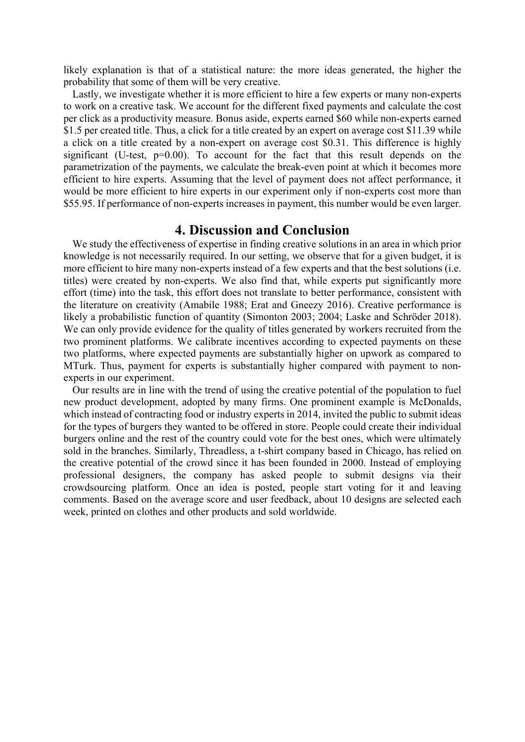likely explanation is that of a statistical nature: the more ideas generated, the higher the probability that some of them will be very creative.

Lastly, we investigate whether it is more efficient to hire a few experts or many non-experts to work on a creative task. We account for the different fixed payments and calculate the cost per click as a productivity measure. Bonus aside, experts earned \$60 while non-experts earned \$1.5 per created title. Thus, a click for a title created by an expert on average cost \$11.39 while a click on a title created by a non-expert on average cost \$0.31. This difference is highly significant (U-test,  $p=0.00$ ). To account for the fact that this result depends on the parametrization of the payments, we calculate the break-even point at which it becomes more efficient to hire experts. Assuming that the level of payment does not affect performance, it would be more efficient to hire experts in our experiment only if non-experts cost more than \$55.95. If performance of non-experts increases in payment, this number would be even larger.

#### **4. Discussion and Conclusion**

We study the effectiveness of expertise in finding creative solutions in an area in which prior knowledge is not necessarily required. In our setting, we observe that for a given budget, it is more efficient to hire many non-experts instead of a few experts and that the best solutions (i.e. titles) were created by non-experts. We also find that, while experts put significantly more effort (time) into the task, this effort does not translate to better performance, consistent with the literature on creativity (Amabile 1988; Erat and Gneezy 2016). Creative performance is likely a probabilistic function of quantity (Simonton 2003; 2004; Laske and Schröder 2018). We can only provide evidence for the quality of titles generated by workers recruited from the two prominent platforms. We calibrate incentives according to expected payments on these two platforms, where expected payments are substantially higher on upwork as compared to MTurk. Thus, payment for experts is substantially higher compared with payment to nonexperts in our experiment.

Our results are in line with the trend of using the creative potential of the population to fuel new product development, adopted by many firms. One prominent example is McDonalds, which instead of contracting food or industry experts in 2014, invited the public to submit ideas for the types of burgers they wanted to be offered in store. People could create their individual burgers online and the rest of the country could vote for the best ones, which were ultimately sold in the branches. Similarly, Threadless, a t-shirt company based in Chicago, has relied on the creative potential of the crowd since it has been founded in 2000. Instead of employing professional designers, the company has asked people to submit designs via their crowdsourcing platform. Once an idea is posted, people start voting for it and leaving comments. Based on the average score and user feedback, about 10 designs are selected each week, printed on clothes and other products and sold worldwide.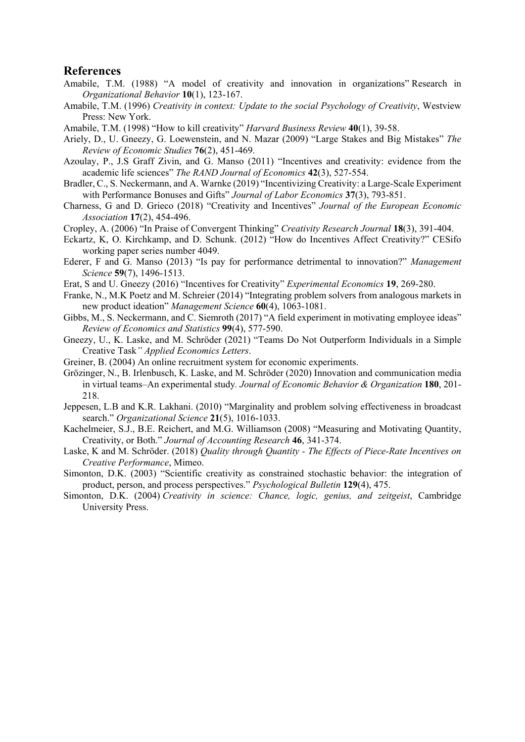#### **References**

- Amabile, T.M. (1988) "A model of creativity and innovation in organizations" Research in *Organizational Behavior* **10**(1), 123-167.
- Amabile, T.M. (1996) *Creativity in context: Update to the social Psychology of Creativity*, Westview Press: New York.
- Amabile, T.M. (1998) "How to kill creativity" *Harvard Business Review* **40**(1), 39-58.
- Ariely, D., U. Gneezy, G. Loewenstein, and N. Mazar (2009) "Large Stakes and Big Mistakes" *The Review of Economic Studies* **76**(2), 451-469.
- Azoulay, P., J.S Graff Zivin, and G. Manso (2011) "Incentives and creativity: evidence from the academic life sciences" *The RAND Journal of Economics* **42**(3), 527-554.
- Bradler, C., S. Neckermann, and A. Warnke (2019) "Incentivizing Creativity: a Large-Scale Experiment with Performance Bonuses and Gifts" *Journal of Labor Economics* **37**(3), 793-851.
- Charness, G and D. Grieco (2018) "Creativity and Incentives" *Journal of the European Economic Association* **17**(2), 454-496.
- Cropley, A. (2006) "In Praise of Convergent Thinking" *Creativity Research Journal* **18**(3), 391-404.
- Eckartz, K, O. Kirchkamp, and D. Schunk. (2012) "How do Incentives Affect Creativity?" CESifo working paper series number 4049.
- Ederer, F and G. Manso (2013) "Is pay for performance detrimental to innovation?" *Management Science* **59**(7), 1496-1513.
- Erat, S and U. Gneezy (2016) "Incentives for Creativity" *Experimental Economics* **19**, 269-280.
- Franke, N., M.K Poetz and M. Schreier (2014) "Integrating problem solvers from analogous markets in new product ideation" *Management Science* **60**(4), 1063-1081.
- Gibbs, M., S. Neckermann, and C. Siemroth (2017) "A field experiment in motivating employee ideas" *Review of Economics and Statistics* **99**(4), 577-590.
- Gneezy, U., K. Laske, and M. Schröder (2021) "Teams Do Not Outperform Individuals in a Simple Creative Task*" Applied Economics Letters*.
- Greiner, B. (2004) An online recruitment system for economic experiments.
- Grözinger, N., B. Irlenbusch, K. Laske, and M. Schröder (2020) Innovation and communication media in virtual teams–An experimental study*. Journal of Economic Behavior & Organization* **180**, 201- 218.
- Jeppesen, L.B and K.R. Lakhani. (2010) "Marginality and problem solving effectiveness in broadcast search." *Organizational Science* **21**(5), 1016-1033.
- Kachelmeier, S.J., B.E. Reichert, and M.G. Williamson (2008) "Measuring and Motivating Quantity, Creativity, or Both." *Journal of Accounting Research* **46**, 341-374.
- Laske, K and M. Schröder. (2018) *Quality through Quantity The Effects of Piece-Rate Incentives on Creative Performance*, Mimeo.
- Simonton, D.K. (2003) "Scientific creativity as constrained stochastic behavior: the integration of product, person, and process perspectives." *Psychological Bulletin* **129**(4), 475.
- Simonton, D.K. (2004) *Creativity in science: Chance, logic, genius, and zeitgeist*, Cambridge University Press.